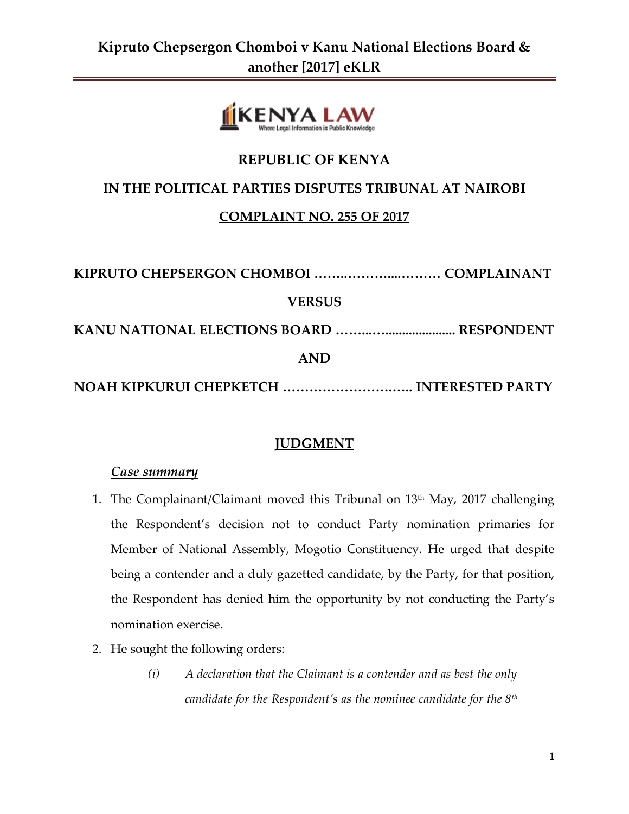

# **REPUBLIC OF KENYA**

#### **IN THE POLITICAL PARTIES DISPUTES TRIBUNAL AT NAIROBI**

#### **COMPLAINT NO. 255 OF 2017**

| <b>VERSUS</b>                             |  |
|-------------------------------------------|--|
|                                           |  |
| <b>AND</b>                                |  |
| NOAH KIPKURUI CHEPKETCH  INTERESTED PARTY |  |

### **JUDGMENT**

#### *Case summary*

- 1. The Complainant/Claimant moved this Tribunal on 13<sup>th</sup> May, 2017 challenging the Respondent's decision not to conduct Party nomination primaries for Member of National Assembly, Mogotio Constituency. He urged that despite being a contender and a duly gazetted candidate, by the Party, for that position, the Respondent has denied him the opportunity by not conducting the Party's nomination exercise.
- 2. He sought the following orders:
	- *(i) A declaration that the Claimant is a contender and as best the only candidate for the Respondent's as the nominee candidate for the 8th*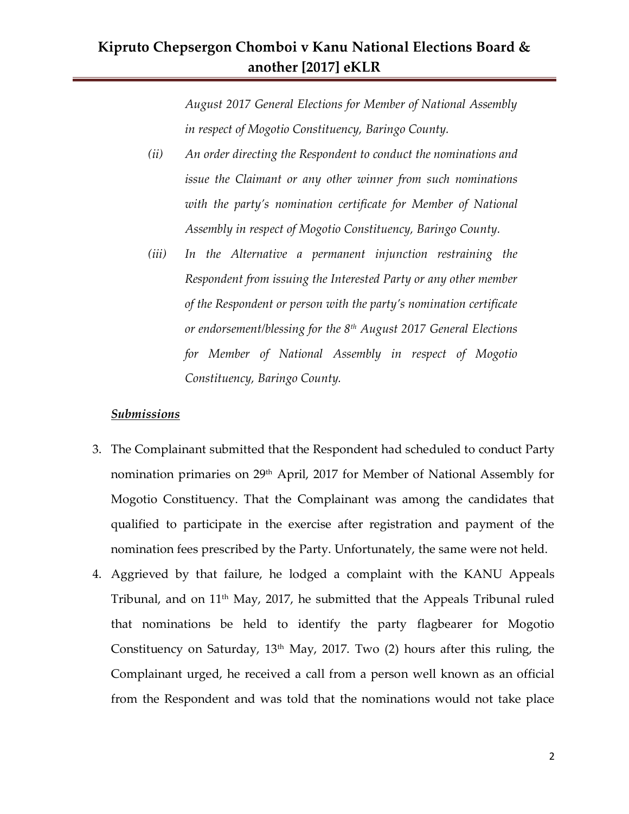*August 2017 General Elections for Member of National Assembly in respect of Mogotio Constituency, Baringo County.*

- *(ii) An order directing the Respondent to conduct the nominations and issue the Claimant or any other winner from such nominations with the party's nomination certificate for Member of National Assembly in respect of Mogotio Constituency, Baringo County.*
- *(iii) In the Alternative a permanent injunction restraining the Respondent from issuing the Interested Party or any other member of the Respondent or person with the party's nomination certificate or endorsement/blessing for the 8th August 2017 General Elections for Member of National Assembly in respect of Mogotio Constituency, Baringo County.*

#### *Submissions*

- 3. The Complainant submitted that the Respondent had scheduled to conduct Party nomination primaries on 29<sup>th</sup> April, 2017 for Member of National Assembly for Mogotio Constituency. That the Complainant was among the candidates that qualified to participate in the exercise after registration and payment of the nomination fees prescribed by the Party. Unfortunately, the same were not held.
- 4. Aggrieved by that failure, he lodged a complaint with the KANU Appeals Tribunal, and on  $11<sup>th</sup>$  May, 2017, he submitted that the Appeals Tribunal ruled that nominations be held to identify the party flagbearer for Mogotio Constituency on Saturday,  $13<sup>th</sup>$  May, 2017. Two (2) hours after this ruling, the Complainant urged, he received a call from a person well known as an official from the Respondent and was told that the nominations would not take place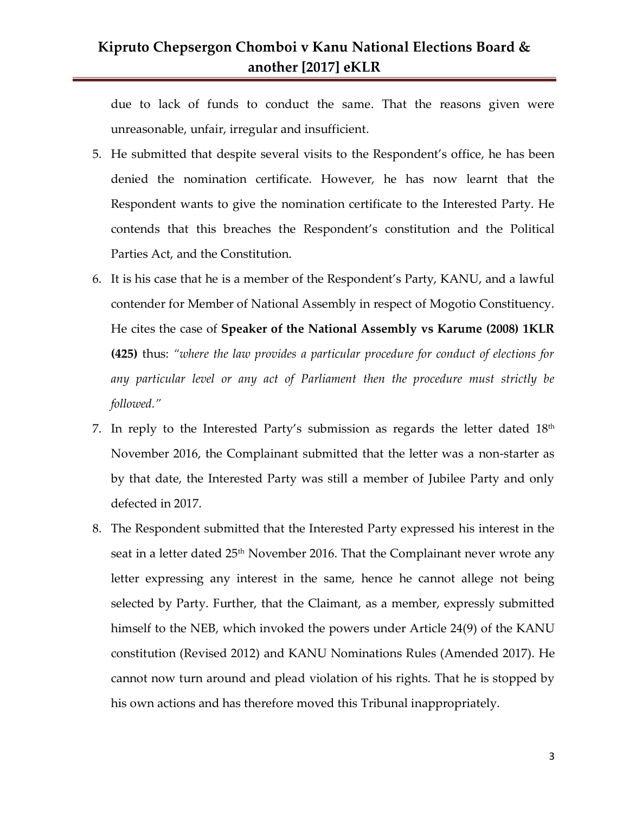due to lack of funds to conduct the same. That the reasons given were unreasonable, unfair, irregular and insufficient.

- 5. He submitted that despite several visits to the Respondent's office, he has been denied the nomination certificate. However, he has now learnt that the Respondent wants to give the nomination certificate to the Interested Party. He contends that this breaches the Respondent's constitution and the Political Parties Act, and the Constitution.
- 6. It is his case that he is a member of the Respondent's Party, KANU, and a lawful contender for Member of National Assembly in respect of Mogotio Constituency. He cites the case of **Speaker of the National Assembly vs Karume (2008) 1KLR (425)** thus: *"where the law provides a particular procedure for conduct of elections for any particular level or any act of Parliament then the procedure must strictly be followed."*
- 7. In reply to the Interested Party's submission as regards the letter dated  $18<sup>th</sup>$ November 2016, the Complainant submitted that the letter was a non-starter as by that date, the Interested Party was still a member of Jubilee Party and only defected in 2017.
- 8. The Respondent submitted that the Interested Party expressed his interest in the seat in a letter dated  $25<sup>th</sup>$  November 2016. That the Complainant never wrote any letter expressing any interest in the same, hence he cannot allege not being selected by Party. Further, that the Claimant, as a member, expressly submitted himself to the NEB, which invoked the powers under Article 24(9) of the KANU constitution (Revised 2012) and KANU Nominations Rules (Amended 2017). He cannot now turn around and plead violation of his rights. That he is stopped by his own actions and has therefore moved this Tribunal inappropriately.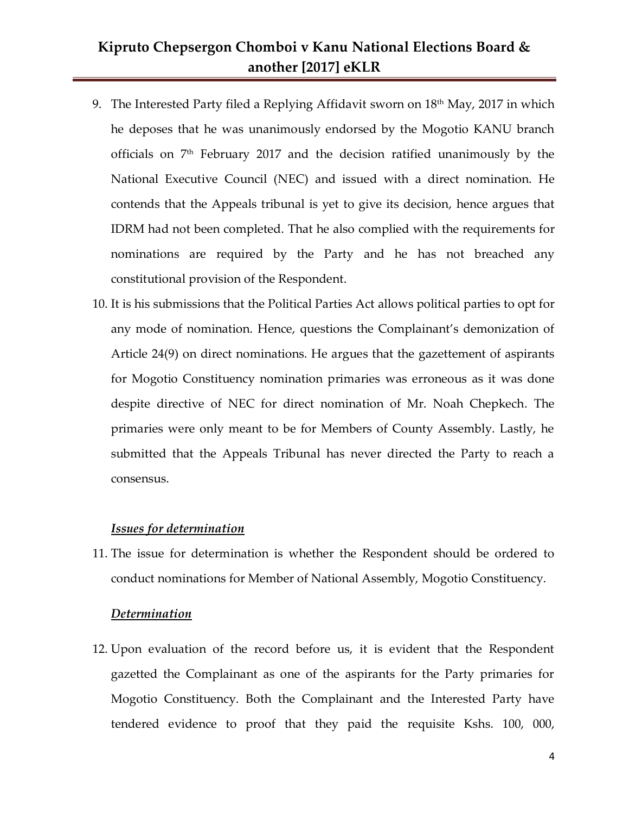- 9. The Interested Party filed a Replying Affidavit sworn on  $18<sup>th</sup>$  May, 2017 in which he deposes that he was unanimously endorsed by the Mogotio KANU branch officials on  $7<sup>th</sup>$  February 2017 and the decision ratified unanimously by the National Executive Council (NEC) and issued with a direct nomination. He contends that the Appeals tribunal is yet to give its decision, hence argues that IDRM had not been completed. That he also complied with the requirements for nominations are required by the Party and he has not breached any constitutional provision of the Respondent.
- 10. It is his submissions that the Political Parties Act allows political parties to opt for any mode of nomination. Hence, questions the Complainant's demonization of Article 24(9) on direct nominations. He argues that the gazettement of aspirants for Mogotio Constituency nomination primaries was erroneous as it was done despite directive of NEC for direct nomination of Mr. Noah Chepkech. The primaries were only meant to be for Members of County Assembly. Lastly, he submitted that the Appeals Tribunal has never directed the Party to reach a consensus.

#### *Issues for determination*

11. The issue for determination is whether the Respondent should be ordered to conduct nominations for Member of National Assembly, Mogotio Constituency.

#### *Determination*

12. Upon evaluation of the record before us, it is evident that the Respondent gazetted the Complainant as one of the aspirants for the Party primaries for Mogotio Constituency. Both the Complainant and the Interested Party have tendered evidence to proof that they paid the requisite Kshs. 100, 000,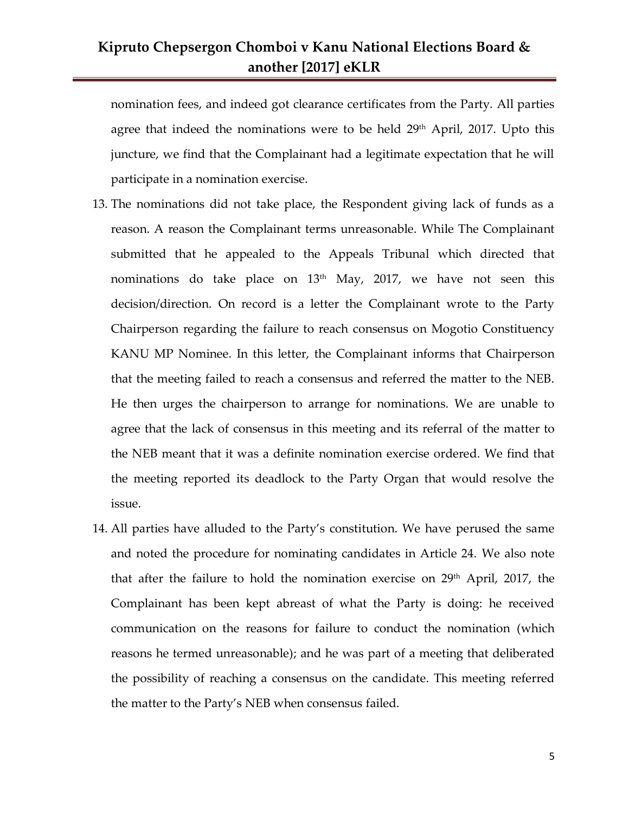nomination fees, and indeed got clearance certificates from the Party. All parties agree that indeed the nominations were to be held 29<sup>th</sup> April, 2017. Upto this juncture, we find that the Complainant had a legitimate expectation that he will participate in a nomination exercise.

- 13. The nominations did not take place, the Respondent giving lack of funds as a reason. A reason the Complainant terms unreasonable. While The Complainant submitted that he appealed to the Appeals Tribunal which directed that nominations do take place on  $13<sup>th</sup>$  May, 2017, we have not seen this decision/direction. On record is a letter the Complainant wrote to the Party Chairperson regarding the failure to reach consensus on Mogotio Constituency KANU MP Nominee. In this letter, the Complainant informs that Chairperson that the meeting failed to reach a consensus and referred the matter to the NEB. He then urges the chairperson to arrange for nominations. We are unable to agree that the lack of consensus in this meeting and its referral of the matter to the NEB meant that it was a definite nomination exercise ordered. We find that the meeting reported its deadlock to the Party Organ that would resolve the issue.
- 14. All parties have alluded to the Party's constitution. We have perused the same and noted the procedure for nominating candidates in Article 24. We also note that after the failure to hold the nomination exercise on  $29<sup>th</sup>$  April, 2017, the Complainant has been kept abreast of what the Party is doing: he received communication on the reasons for failure to conduct the nomination (which reasons he termed unreasonable); and he was part of a meeting that deliberated the possibility of reaching a consensus on the candidate. This meeting referred the matter to the Party's NEB when consensus failed.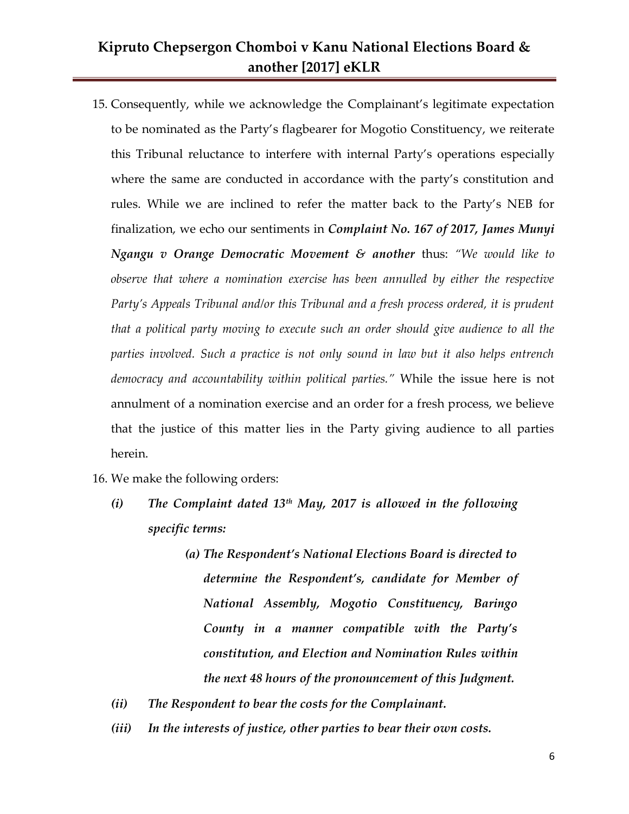- 15. Consequently, while we acknowledge the Complainant's legitimate expectation to be nominated as the Party's flagbearer for Mogotio Constituency, we reiterate this Tribunal reluctance to interfere with internal Party's operations especially where the same are conducted in accordance with the party's constitution and rules. While we are inclined to refer the matter back to the Party's NEB for finalization, we echo our sentiments in *Complaint No. 167 of 2017, James Munyi Ngangu v Orange Democratic Movement & another* thus: *"We would like to observe that where a nomination exercise has been annulled by either the respective Party's Appeals Tribunal and/or this Tribunal and a fresh process ordered, it is prudent that a political party moving to execute such an order should give audience to all the parties involved. Such a practice is not only sound in law but it also helps entrench democracy and accountability within political parties."* While the issue here is not annulment of a nomination exercise and an order for a fresh process, we believe that the justice of this matter lies in the Party giving audience to all parties herein.
- 16. We make the following orders:
	- *(i) The Complaint dated 13th May, 2017 is allowed in the following specific terms:*
		- *(a) The Respondent's National Elections Board is directed to determine the Respondent's, candidate for Member of National Assembly, Mogotio Constituency, Baringo County in a manner compatible with the Party's constitution, and Election and Nomination Rules within the next 48 hours of the pronouncement of this Judgment.*
	- *(ii) The Respondent to bear the costs for the Complainant.*
	- *(iii) In the interests of justice, other parties to bear their own costs.*